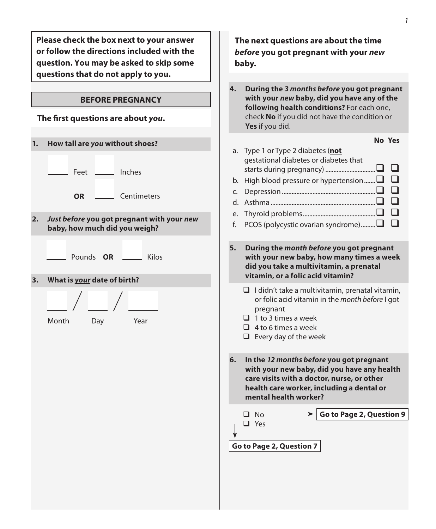**Please check the box next to your answer or follow the directions included with the question. You may be asked to skip some questions that do not apply to you.**

## **BEFORE PREGNANCY**

## **The first questions are about** *you***.**

| 1. | How tall are you without shoes?                                             | Ty<br>a.                         |
|----|-----------------------------------------------------------------------------|----------------------------------|
|    | Inches<br>Feet                                                              | $g\epsilon$<br>sta<br>Hi<br>b.   |
|    | Centimeters<br>OR                                                           | c.<br>$D\epsilon$<br>d.<br>As    |
| 2. | Just before you got pregnant with your new<br>baby, how much did you weigh? | Th<br>e.<br>f.<br>P <sub>C</sub> |
|    | Pounds OR<br>Kilos                                                          | 5.<br>D<br>W<br>di               |
| 3. | What is your date of birth?                                                 | vi                               |
|    | Month<br>Year<br>Day                                                        | $\Box$<br>❏                      |
|    |                                                                             | $\Box$<br>$\Box$                 |
|    |                                                                             | 6.<br>In<br>W<br>Ca<br>h<br>m    |
|    |                                                                             | ❏<br>$\Box$<br>Go to             |
|    |                                                                             |                                  |

| The next questions are about the time<br>before you got pregnant with your new<br>baby. |                                                                                                                                                                                                                   |  |
|-----------------------------------------------------------------------------------------|-------------------------------------------------------------------------------------------------------------------------------------------------------------------------------------------------------------------|--|
| 4.                                                                                      | During the 3 months before you got pregnant<br>with your new baby, did you have any of the<br>following health conditions? For each one,<br>check No if you did not have the condition or<br>Yes if you did.      |  |
| a.<br>b.<br>c.<br>d.<br>e.<br>f.                                                        | <b>No Yes</b><br>Type 1 or Type 2 diabetes (not<br>gestational diabetes or diabetes that<br>High blood pressure or hypertension $\square$<br>PCOS (polycystic ovarian syndrome) $\square$                         |  |
| 5.                                                                                      | During the month before you got pregnant<br>with your new baby, how many times a week<br>did you take a multivitamin, a prenatal<br>vitamin, or a folic acid vitamin?                                             |  |
|                                                                                         | $\Box$ I didn't take a multivitamin, prenatal vitamin,<br>or folic acid vitamin in the month before I got<br>pregnant<br>$\Box$ 1 to 3 times a week<br>$\Box$ 4 to 6 times a week<br>$\Box$ Every day of the week |  |
| 6.                                                                                      | In the 12 months before you got pregnant<br>with your new baby, did you have any health<br>care visits with a doctor, nurse, or other<br>health care worker, including a dental or<br>mental health worker?       |  |
|                                                                                         | Go to Page 2, Question 9<br>$\square$ No<br>□<br>Yes                                                                                                                                                              |  |
|                                                                                         |                                                                                                                                                                                                                   |  |
|                                                                                         | Go to Page 2, Question 7                                                                                                                                                                                          |  |
|                                                                                         |                                                                                                                                                                                                                   |  |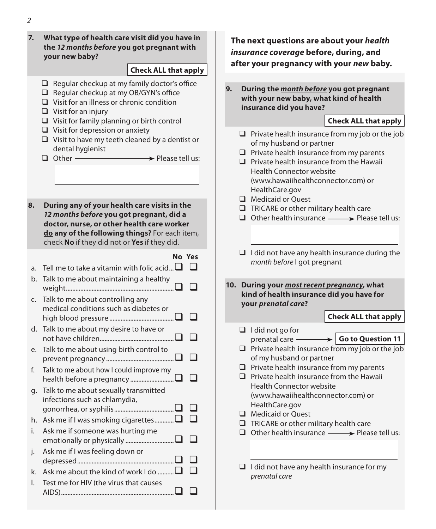### **7. What type of health care visit did you have in the** *12 months before* **you got pregnant with your new baby?**

### **Check ALL that apply**

- $\Box$  Regular checkup at my family doctor's office
- $\Box$  Regular checkup at my OB/GYN's office
- Visit for an illness or chronic condition
- $\Box$  Visit for an injury
- $\Box$  Visit for family planning or birth control
- $\Box$  Visit for depression or anxiety
- $\Box$  Visit to have my teeth cleaned by a dentist or dental hygienist
- $\Box$  Other  $\longrightarrow$  Please tell us:
- **8. During any of your health care visits in the**  *12 months before* **you got pregnant, did a doctor, nurse, or other health care worker do any of the following things?** For each item, check **No** if they did not or **Yes** if they did.

# **No Yes**

- a. Tell me to take a vitamin with folic acid...  $\square$ b. Talk to me about maintaining a healthy weight................................................................... c. Talk to me about controlling any medical conditions such as diabetes or high blood pressure ........................................ d. Talk to me about my desire to have or not have children.............................................. e. Talk to me about using birth control to prevent pregnancy .......................................... f. Talk to me about how I could improve my health before a pregnancy ...........................
- g. Talk to me about sexually transmitted infections such as chlamydia, gonorrhea, or syphilis..................................... h. Ask me if I was smoking cigarettes............. $\square$
- i. Ask me if someone was hurting me emotionally or physically .............................. j. Ask me if I was feeling down or depressed............................................................
- k. Ask me about the kind of work I do .......... $\Box$  $\Box$ l. Test me for HIV (the virus that causes AIDS)......................................................................

## **The next questions are about your** *health insurance coverage* **before, during, and after your pregnancy with your** *new* **baby.**

**9. During the** *month before* **you got pregnant with your new baby, what kind of health insurance did you have?**

## **Check ALL that apply**

- $\Box$  Private health insurance from my job or the job of my husband or partner  $\Box$  Private health insurance from my parents  $\Box$  Private health insurance from the Hawaii Health Connector website (www.hawaiihealthconnector.com) or HealthCare.gov Medicaid or Ouest  $\Box$  TRICARE or other military health care  $\Box$  Other health insurance  $\longrightarrow$  Please tell us:  $\Box$  I did not have any health insurance during the *month before* I got pregnant **10. During your** *most recent pregnancy***, what kind of health insurance did you have for your** *prenatal care***?**  $\Box$  I did not go for prenatal care **Go to Question 11** $\Box$  Private health insurance from my job or the job of my husband or partner  $\Box$  Private health insurance from my parents  $\Box$  Private health insurance from the Hawaii Health Connector website (www.hawaiihealthconnector.com) or HealthCare.gov Medicaid or Ouest  $\Box$  TRICARE or other military health care  $\Box$  Other health insurance  $\longrightarrow$  Please tell us: **Check ALL that apply**
	- $\Box$  I did not have any health insurance for my *prenatal care*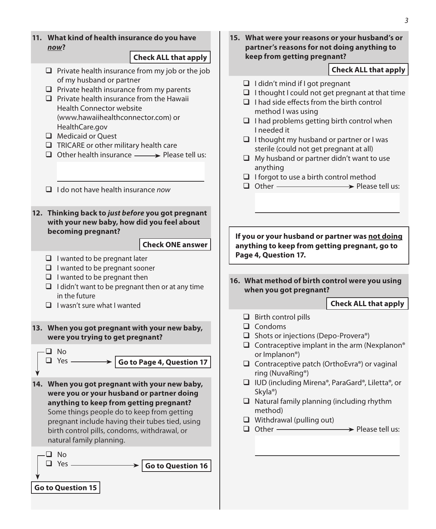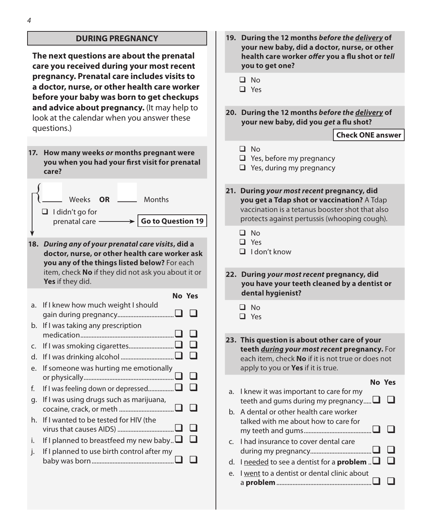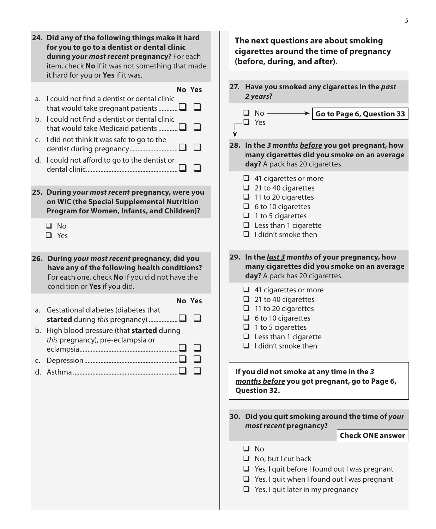| 24. Did any of the following things make it hard<br>for you to go to a dentist or dental clinic<br>during your most recent pregnancy? For each<br>item, check No if it was not something that made<br>it hard for you or Yes if it was.                                                                                                                                                                                                                | The next questions are about smoking<br>cigarettes around the time of pregnancy<br>(before, during, and after).                                                                                                                                                                                                                                                                                                |
|--------------------------------------------------------------------------------------------------------------------------------------------------------------------------------------------------------------------------------------------------------------------------------------------------------------------------------------------------------------------------------------------------------------------------------------------------------|----------------------------------------------------------------------------------------------------------------------------------------------------------------------------------------------------------------------------------------------------------------------------------------------------------------------------------------------------------------------------------------------------------------|
| No Yes<br>a. I could not find a dentist or dental clinic<br>that would take pregnant patients<br>b. I could not find a dentist or dental clinic<br>ப<br>that would take Medicaid patients<br>c. I did not think it was safe to go to the<br>l 1<br>d. I could not afford to go to the dentist or<br>l 1<br>25. During your most recent pregnancy, were you<br>on WIC (the Special Supplemental Nutrition<br>Program for Women, Infants, and Children)? | 27. Have you smoked any cigarettes in the past<br>2 years?<br>$\Box$ No -<br>Go to Page 6, Question 33<br>$\Box$ Yes<br>28. In the 3 months before you got pregnant, how<br>many cigarettes did you smoke on an average<br>day? A pack has 20 cigarettes.<br>$\Box$ 41 cigarettes or more<br>$\Box$ 21 to 40 cigarettes<br>$\Box$ 11 to 20 cigarettes<br>$\Box$ 6 to 10 cigarettes<br>$\Box$ 1 to 5 cigarettes |
| $\square$ No<br>$\Box$ Yes<br>26. During your most recent pregnancy, did you<br>have any of the following health conditions?<br>For each one, check No if you did not have the                                                                                                                                                                                                                                                                         | $\Box$ Less than 1 cigarette<br>$\Box$ I didn't smoke then<br>29. In the last 3 months of your pregnancy, how<br>many cigarettes did you smoke on an average<br>day? A pack has 20 cigarettes.                                                                                                                                                                                                                 |
| condition or Yes if you did.<br>No Yes<br>a. Gestational diabetes (diabetes that<br>ப<br>b. High blood pressure (that <b>started</b> during<br>this pregnancy), pre-eclampsia or<br>ப<br>❏<br>❏                                                                                                                                                                                                                                                        | $\Box$ 41 cigarettes or more<br>$\Box$ 21 to 40 cigarettes<br>$\Box$ 11 to 20 cigarettes<br>$\Box$ 6 to 10 cigarettes<br>$\Box$ 1 to 5 cigarettes<br>$\Box$ Less than 1 cigarette<br>$\Box$ I didn't smoke then<br>If you did not smoke at any time in the 3                                                                                                                                                   |
|                                                                                                                                                                                                                                                                                                                                                                                                                                                        | months before you got pregnant, go to Page 6,<br><b>Question 32.</b><br>30. Did you quit smoking around the time of your<br>most recent pregnancy?<br><b>Check ONE answer</b><br>$\Box$ No                                                                                                                                                                                                                     |
|                                                                                                                                                                                                                                                                                                                                                                                                                                                        | $\Box$ No, but I cut back<br>$\Box$ Yes, I quit before I found out I was pregnant<br>$\Box$ Yes, I quit when I found out I was pregnant<br>$\Box$ Yes, I quit later in my pregnancy                                                                                                                                                                                                                            |

*5*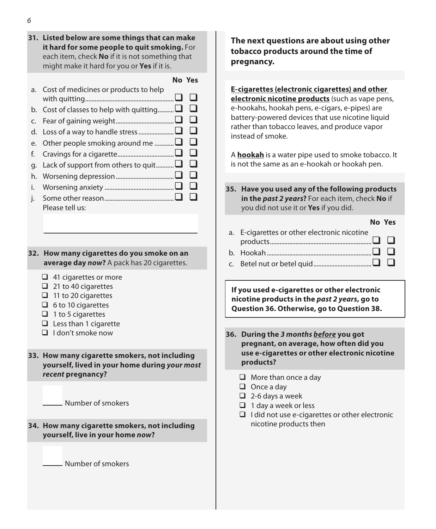**31. Listed below are some things that can make it hard for some people to quit smoking.** For each item, check **No** if it is not something that might make it hard for you or **Yes** if it is.

#### **No Yes**

|    | a. Cost of medicines or products to help |   |
|----|------------------------------------------|---|
|    | b. Cost of classes to help with quitting |   |
|    |                                          |   |
|    |                                          |   |
|    | e. Other people smoking around me        | ⊔ |
|    |                                          | ப |
|    | g. Lack of support from others to quit□  | ⊔ |
|    |                                          |   |
| i. |                                          |   |
|    | Please tell us:                          |   |

#### **32. How many cigarettes do you smoke on an average day** *now***?** A pack has 20 cigarettes.

- $\Box$  41 cigarettes or more
- $\Box$  21 to 40 cigarettes
- $\Box$  11 to 20 cigarettes
- $\Box$  6 to 10 cigarettes
- $\Box$  1 to 5 cigarettes
- $\Box$  Less than 1 cigarette
- $\Box$  I don't smoke now

#### **33. How many cigarette smokers, not including yourself, lived in your home during** *your most recent* **pregnancy?**

Number of smokers

#### **34. How many cigarette smokers, not including yourself, live in your home** *now***?**

Number of smokers

## **The next questions are about using other tobacco products around the time of pregnancy.**

**E-cigarettes (electronic cigarettes) and other electronic nicotine products** (such as vape pens, e-hookahs, hookah pens, e-cigars, e-pipes) are battery-powered devices that use nicotine liquid rather than tobacco leaves, and produce vapor instead of smoke.

A **hookah** is a water pipe used to smoke tobacco. It is not the same as an e-hookah or hookah pen.

**35. Have you used any of the following products in the** *past 2 years***?** For each item, check **No** if you did not use it or **Yes** if you did.

## **No Yes** a. E-cigarettes or other electronic nicotine products............................................................... b. Hookah................................................................. c. Betel nut or betel quid....................................

**If you used e-cigarettes or other electronic nicotine products in the** *past 2 years***, go to Question 36. Otherwise, go to Question 38.**

- **36. During the** *3 months before* **you got pregnant, on average, how often did you use e-cigarettes or other electronic nicotine products?**
	- $\Box$  More than once a day
	- $\Box$  Once a day
	- $\Box$  2-6 days a week
	- $\Box$  1 day a week or less
	- $\Box$  I did not use e-cigarettes or other electronic nicotine products then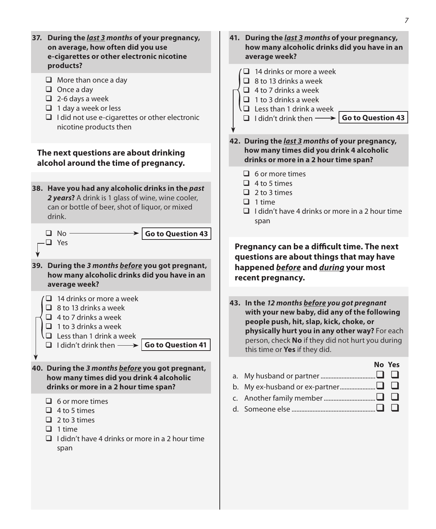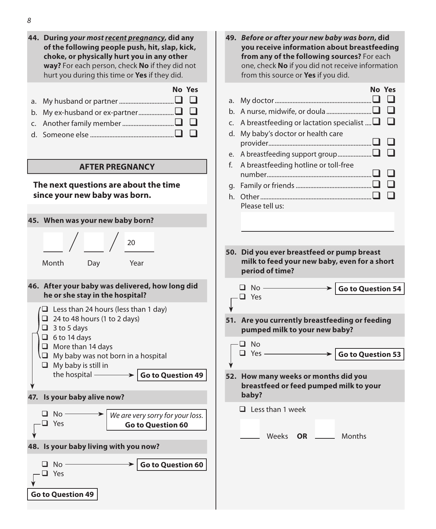*8* **44. During** *your most recent pregnancy***, did any of the following people push, hit, slap, kick, choke, or physically hurt you in any other way?** For each person, check **No** if they did not hurt you during this time or **Yes** if they did. **No Yes** a. My husband or partner.................................. b. My ex-husband or ex-partner...................... c. Another family member................................ d. Someone else .................................................... **AFTER PREGNANCY The next questions are about the time since your new baby was born. 45. When was your new baby born?** 20 Month Day Year **46. After your baby was delivered, how long did he or she stay in the hospital?**  $\Box$  Less than 24 hours (less than 1 day)  $\Box$  24 to 48 hours (1 to 2 days)  $\Box$  3 to 5 days  $\Box$  6 to 14 days  $\Box$  More than 14 days  $\Box$  My baby was not born in a hospital  $\Box$  My baby is still in the hospital **Go to Question 49 47. Is your baby alive now?**  $\Box$  No  $-$  Yes *We are very sorry for your loss.*  **Go to Question 60 48. Is your baby living with you now?**  $\n **N** \n **N** \n **N** \n **N** \n **N** \n **N** \n **N** \n **N** \n **N** \n **N** \n **N** \n **N** \n **N** \n **N** \n **N** \n **N** \n **N** \n **N** \n **N** \n **N** \n **N** \n **N** \n **N** \n **N** \n$  Yes **Go to Question 60 49.** *Before or after your new baby was born***, did you receive information about breastfeeding from any of the following sources?** For each one, check **No** if you did not receive information from this source or **Yes** if you did. a. My doctor............................................................ b. A nurse, midwife, or doula............................ c. A breastfeeding or lactation specialist  $\Box$   $\Box$ d. My baby's doctor or health care provider................................................................ e. A breastfeeding support group..................... f. A breastfeeding hotline or toll-free number................................................................. g. Family or friends............................................... h. Other..................................................................... Please tell us: **50. Did you ever breastfeed or pump breast milk to feed your new baby, even for a short period of time?**  $\Box$  No  $-$  Yes  $\blacktriangleright$   $\mid$  Go to Question 54 **51. Are you currently breastfeeding or feeding pumped milk to your new baby?**  $\Box$  No  $\Box$  Yes  $\longrightarrow$  **Go to Question 53 52. How many weeks or months did you breastfeed or feed pumped milk to your baby?**  $\Box$  Less than 1 week Weeks **OR** Months

**No Yes**

**Go to Question 49**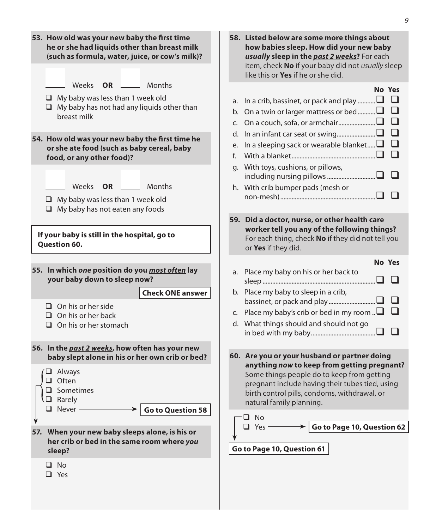| 53. How old was your new baby the first time<br>he or she had liquids other than breast milk<br>(such as formula, water, juice, or cow's milk)?                                                                                                                                                                                                                | 58. Listed below are some more things about<br>how babies sleep. How did your new baby<br>usually sleep in the past 2 weeks? For each<br>item, check No if your baby did not usually sleep<br>like this or Yes if he or she did.                                                                                                                                               |
|----------------------------------------------------------------------------------------------------------------------------------------------------------------------------------------------------------------------------------------------------------------------------------------------------------------------------------------------------------------|--------------------------------------------------------------------------------------------------------------------------------------------------------------------------------------------------------------------------------------------------------------------------------------------------------------------------------------------------------------------------------|
| Weeks<br><b>OR</b><br>Months<br>$\Box$ My baby was less than 1 week old<br>$\Box$ My baby has not had any liquids other than<br>breast milk<br>54. How old was your new baby the first time he<br>or she ate food (such as baby cereal, baby<br>food, or any other food)?                                                                                      | No Yes<br>a. In a crib, bassinet, or pack and play $\square$<br>$\Box$<br>ப<br>b. On a twin or larger mattress or bed<br>□<br>$\Box$<br>$\Box$<br>In a sleeping sack or wearable blanket<br>e.<br>$\Box$<br>f.                                                                                                                                                                 |
| Weeks<br><b>OR</b><br>Months<br>$\Box$ My baby was less than 1 week old<br>$\Box$ My baby has not eaten any foods                                                                                                                                                                                                                                              | g. With toys, cushions, or pillows,<br>h. With crib bumper pads (mesh or<br>ப                                                                                                                                                                                                                                                                                                  |
| If your baby is still in the hospital, go to<br><b>Question 60.</b>                                                                                                                                                                                                                                                                                            | 59. Did a doctor, nurse, or other health care<br>worker tell you any of the following things?<br>For each thing, check No if they did not tell you<br>or Yes if they did.                                                                                                                                                                                                      |
| 55. In which one position do you most often lay<br>your baby down to sleep now?<br><b>Check ONE answer</b><br>$\Box$ On his or her side<br>$\Box$ On his or her back<br>$\Box$ On his or her stomach                                                                                                                                                           | No Yes<br>a. Place my baby on his or her back to<br>b. Place my baby to sleep in a crib,<br>❏<br>c. Place my baby's crib or bed in my room $\Box$<br>d. What things should and should not go<br>$\Box$                                                                                                                                                                         |
| 56. In the past 2 weeks, how often has your new<br>baby slept alone in his or her own crib or bed?<br>$\Box$ Always<br>$\Box$ Often<br>$\Box$ Sometimes<br>J Rarely<br>$\Box$ Never -<br><b>Go to Question 58</b><br>۷<br>57. When your new baby sleeps alone, is his or<br>her crib or bed in the same room where you<br>sleep?<br>$\square$ No<br>$\Box$ Yes | 60. Are you or your husband or partner doing<br>anything now to keep from getting pregnant?<br>Some things people do to keep from getting<br>pregnant include having their tubes tied, using<br>birth control pills, condoms, withdrawal, or<br>natural family planning.<br>−□ No<br>Go to Page 10, Question 62<br>$\Box$ Yes —<br>$\rightarrow$<br>Go to Page 10, Question 61 |

*9*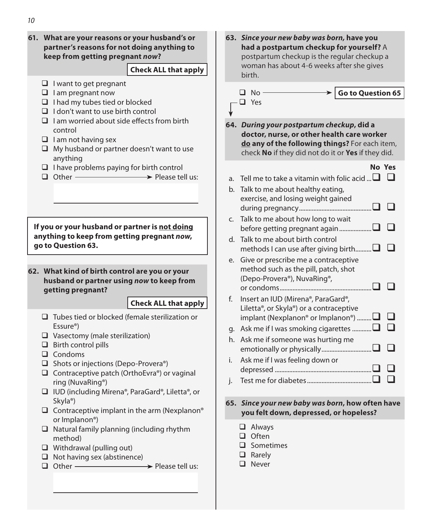**61. What are your reasons or your husband's or partner's reasons for not doing anything to keep from getting pregnant** *now***?**  $\Box$  I want to get pregnant  $\Box$  I am pregnant now  $\Box$  I had my tubes tied or blocked  $\Box$  I don't want to use birth control  $\Box$  I am worried about side effects from birth control  $\Box$  I am not having sex  $\Box$  My husband or partner doesn't want to use anything  $\Box$  I have problems paying for birth control  $\Box$  Other  $\longrightarrow$  Please tell us: **Check ALL that apply If you or your husband or partner is not doing anything to keep from getting pregnant** *now***, go to Question 63. 62. What kind of birth control are you or your husband or partner using** *now* **to keep from getting pregnant?**   $\Box$  Tubes tied or blocked (female sterilization or Essure®)  $\Box$  Vasectomy (male sterilization)  $\Box$  Birth control pills  $\Box$  Condoms  $\Box$  Shots or injections (Depo-Provera®)  $\Box$  Contraceptive patch (OrthoEvra®) or vaginal ring (NuvaRing®) IUD (including Mirena®, ParaGard®, Liletta®, or Skyla®)  $\Box$  Contraceptive implant in the arm (Nexplanon® or Implanon®)  $\Box$  Natural family planning (including rhythm method)  $\Box$  Withdrawal (pulling out)  $\Box$  Not having sex (abstinence)  $\Box$  Other  $\longrightarrow$  Please tell us: **Check ALL that apply 63.** *Since your new baby was born,* **have you had a postpartum checkup for yourself?** A postpartum checkup is the regular checkup a woman has about 4-6 weeks after she gives birth.  $\Box$  No - Yes **Go to Question 65 64.** *During your postpartum checkup***, did a doctor, nurse, or other health care worker do any of the following things?** For each item, check **No** if they did not do it or **Yes** if they did. **No Yes** a. Tell me to take a vitamin with folic acid  $\Box$   $\Box$ b. Talk to me about healthy eating, exercise, and losing weight gained during pregnancy............................................. c. Talk to me about how long to wait before getting pregnant again.................... d. Talk to me about birth control methods I can use after giving birth........... $\Box$  $\Box$ e. Give or prescribe me a contraceptive method such as the pill, patch, shot (Depo-Provera®), NuvaRing®, or condoms......................................................... f. Insert an IUD (Mirena®, ParaGard®, Liletta®, or Skyla®) or a contraceptive implant (Nexplanon® or Implanon®) ......... $\square$   $\square$ g. Ask me if I was smoking cigarettes  $\Box$ ............ $\Box$ h. Ask me if someone was hurting me emotionally or physically............................... i. Ask me if I was feeling down or depressed ............................................................ j. Test me for diabetes........................................ **65.** *Since your new baby was born***, how often have you felt down, depressed, or hopeless? Q** Always  $\bigcap$  Often  $\Box$  Sometimes **Q** Rarely **D** Never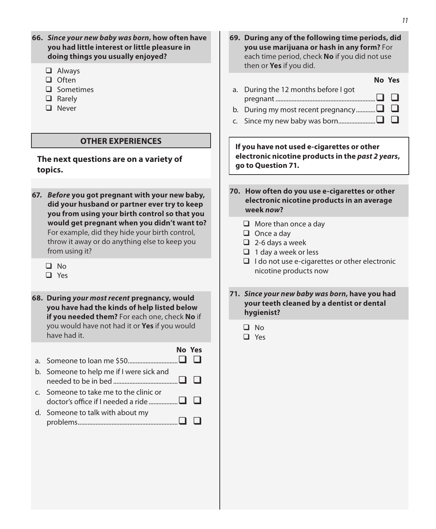| 66. Since your new baby was born, how often have<br>you had little interest or little pleasure in<br>doing things you usually enjoyed?                           | 69. During any of the following time periods, did<br>you use marijuana or hash in any form? For<br>each time period, check No if you did not use<br>then or Yes if you did. |  |  |
|------------------------------------------------------------------------------------------------------------------------------------------------------------------|-----------------------------------------------------------------------------------------------------------------------------------------------------------------------------|--|--|
| $\Box$ Always<br>$\Box$ Often<br>$\Box$ Sometimes<br>$\Box$ Rarely<br>$\Box$ Never                                                                               | No Yes<br>a. During the 12 months before I got<br>⊔<br>□<br>b. During my most recent pregnancy $\square$<br>□                                                               |  |  |
| <b>OTHER EXPERIENCES</b>                                                                                                                                         | If you have not used e-cigarettes or other                                                                                                                                  |  |  |
| The next questions are on a variety of<br>topics.                                                                                                                | electronic nicotine products in the past 2 years,<br>go to Question 71.                                                                                                     |  |  |
|                                                                                                                                                                  |                                                                                                                                                                             |  |  |
| 67. Before you got pregnant with your new baby,<br>did your husband or partner ever try to keep<br>you from using your birth control so that you                 | 70. How often do you use e-cigarettes or other<br>electronic nicotine products in an average<br>week now?                                                                   |  |  |
| would get pregnant when you didn't want to?<br>For example, did they hide your birth control,<br>throw it away or do anything else to keep you<br>from using it? | $\Box$ More than once a day<br>$\Box$ Once a day<br>$\Box$ 2-6 days a week<br>$\Box$ 1 day a week or less                                                                   |  |  |
| $\square$ No<br>$\Box$ Yes                                                                                                                                       | $\Box$ I do not use e-cigarettes or other electronic<br>nicotine products now                                                                                               |  |  |
| 68. During your most recent pregnancy, would<br>you have had the kinds of help listed below<br>if you needed them? For each one, check No if                     | 71. Since your new baby was born, have you had<br>your teeth cleaned by a dentist or dental<br>hygienist?                                                                   |  |  |
| you would have not had it or Yes if you would<br>have had it.                                                                                                    | $\square$ No<br>$\Box$ Yes                                                                                                                                                  |  |  |
| No Yes<br>$\Box$                                                                                                                                                 |                                                                                                                                                                             |  |  |
| b. Someone to help me if I were sick and<br>n                                                                                                                    |                                                                                                                                                                             |  |  |
| c. Someone to take me to the clinic or                                                                                                                           |                                                                                                                                                                             |  |  |
| d. Someone to talk with about my<br>$\Box$                                                                                                                       |                                                                                                                                                                             |  |  |
|                                                                                                                                                                  |                                                                                                                                                                             |  |  |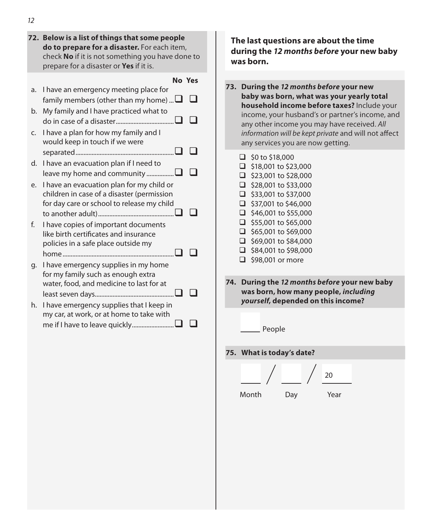|    | 72. Below is a list of things that some people<br>do to prepare for a disaster. For each item,<br>check No if it is not something you have done to<br>prepare for a disaster or Yes if it is. |               |
|----|-----------------------------------------------------------------------------------------------------------------------------------------------------------------------------------------------|---------------|
|    |                                                                                                                                                                                               | <b>No Yes</b> |
| a. | I have an emergency meeting place for<br>family members (other than my home) $\Box$                                                                                                           |               |
| b. | My family and I have practiced what to                                                                                                                                                        |               |
| C. | I have a plan for how my family and I<br>would keep in touch if we were                                                                                                                       |               |
|    |                                                                                                                                                                                               |               |
| d. | I have an evacuation plan if I need to<br>leave my home and community $\square$                                                                                                               |               |
| e. | I have an evacuation plan for my child or<br>children in case of a disaster (permission<br>for day care or school to release my child                                                         |               |
| f. | I have copies of important documents<br>like birth certificates and insurance<br>policies in a safe place outside my                                                                          |               |
| g. | I have emergency supplies in my home<br>for my family such as enough extra<br>water, food, and medicine to last for at                                                                        |               |
| h. | I have emergency supplies that I keep in<br>my car, at work, or at home to take with                                                                                                          |               |

**The last questions are about the time during the** *12 months before* **your new baby was born.**

- **73. During the** *12 months before* **your new baby was born, what was your yearly total household income before taxes?** Include your income, your husband's or partner's income, and any other income you may have received. *All information will be kept private* and will not affect any services you are now getting.
	- $\Box$  \$0 to \$18,000  $\Box$  \$18,001 to \$23,000
	- $\Box$  \$23,001 to \$28,000
	- $\Box$  \$28,001 to \$33,000
	- $\Box$  \$33,001 to \$37,000
	- $\Box$  \$37,001 to \$46,000
	- $\Box$  \$46,001 to \$55,000
	- $\Box$  \$55,001 to \$65,000
	- $\Box$  \$65,001 to \$69,000
	- $\Box$  \$69,001 to \$84,000
	- $\Box$  \$84,001 to \$98,000
	- $\Box$  \$98,001 or more
- **74. During the** *12 months before* **your new baby was born, how many people,** *including yourself***, depended on this income?**
- **75. What is today's date?**

People

20 Month Day Year